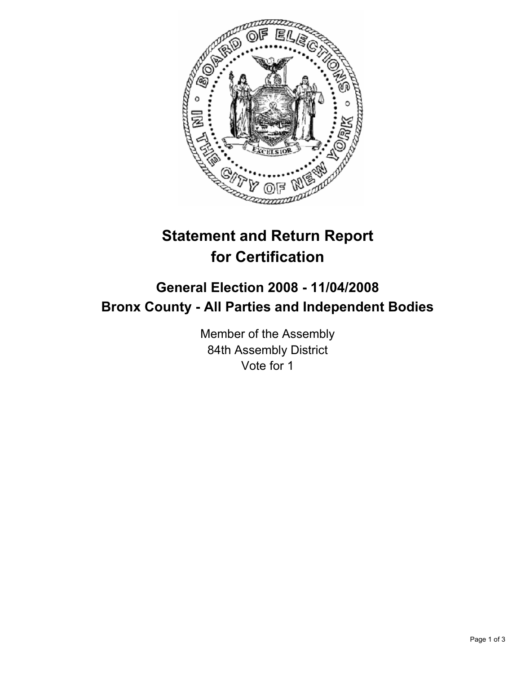

# **Statement and Return Report for Certification**

## **General Election 2008 - 11/04/2008 Bronx County - All Parties and Independent Bodies**

Member of the Assembly 84th Assembly District Vote for 1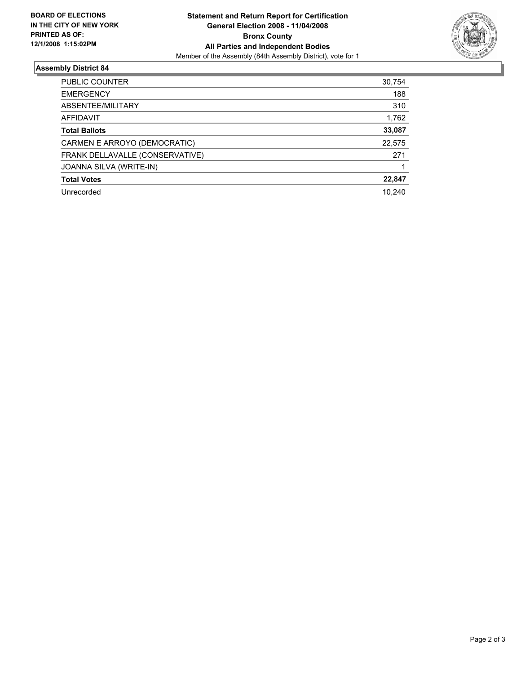

### **Assembly District 84**